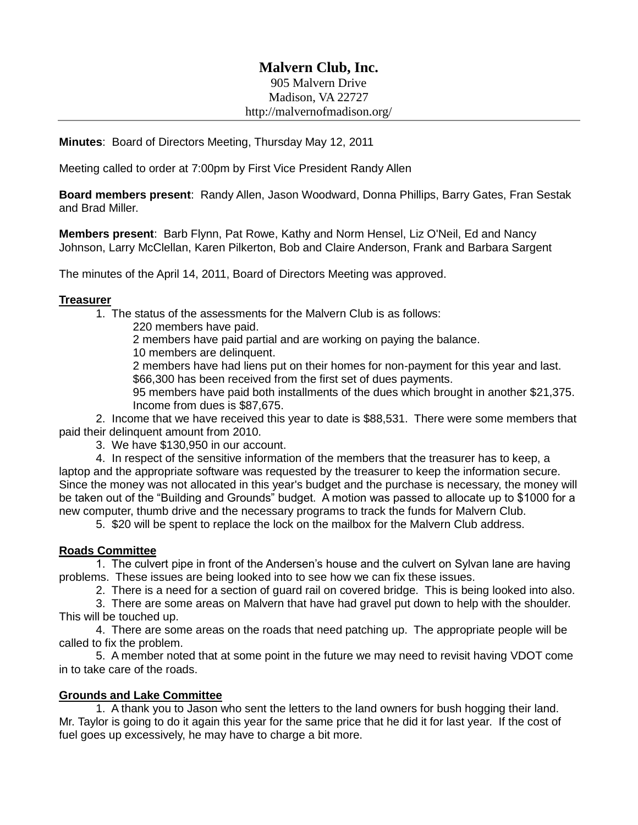# **Malvern Club, Inc.**

905 Malvern Drive Madison, VA 22727 http://malvernofmadison.org/

**Minutes**: Board of Directors Meeting, Thursday May 12, 2011

Meeting called to order at 7:00pm by First Vice President Randy Allen

**Board members present**: Randy Allen, Jason Woodward, Donna Phillips, Barry Gates, Fran Sestak and Brad Miller.

**Members present**: Barb Flynn, Pat Rowe, Kathy and Norm Hensel, Liz O'Neil, Ed and Nancy Johnson, Larry McClellan, Karen Pilkerton, Bob and Claire Anderson, Frank and Barbara Sargent

The minutes of the April 14, 2011, Board of Directors Meeting was approved.

### **Treasurer**

1. The status of the assessments for the Malvern Club is as follows:

220 members have paid.

2 members have paid partial and are working on paying the balance.

10 members are delinquent.

2 members have had liens put on their homes for non-payment for this year and last. \$66,300 has been received from the first set of dues payments.

95 members have paid both installments of the dues which brought in another \$21,375. Income from dues is \$87,675.

2. Income that we have received this year to date is \$88,531. There were some members that paid their delinquent amount from 2010.

3. We have \$130,950 in our account.

4. In respect of the sensitive information of the members that the treasurer has to keep, a laptop and the appropriate software was requested by the treasurer to keep the information secure. Since the money was not allocated in this year's budget and the purchase is necessary, the money will be taken out of the "Building and Grounds" budget. A motion was passed to allocate up to \$1000 for a new computer, thumb drive and the necessary programs to track the funds for Malvern Club.

5. \$20 will be spent to replace the lock on the mailbox for the Malvern Club address.

# **Roads Committee**

1. The culvert pipe in front of the Andersen's house and the culvert on Sylvan lane are having problems. These issues are being looked into to see how we can fix these issues.

2. There is a need for a section of guard rail on covered bridge. This is being looked into also.

3. There are some areas on Malvern that have had gravel put down to help with the shoulder. This will be touched up.

4. There are some areas on the roads that need patching up. The appropriate people will be called to fix the problem.

5. A member noted that at some point in the future we may need to revisit having VDOT come in to take care of the roads.

# **Grounds and Lake Committee**

1. A thank you to Jason who sent the letters to the land owners for bush hogging their land. Mr. Taylor is going to do it again this year for the same price that he did it for last year. If the cost of fuel goes up excessively, he may have to charge a bit more.